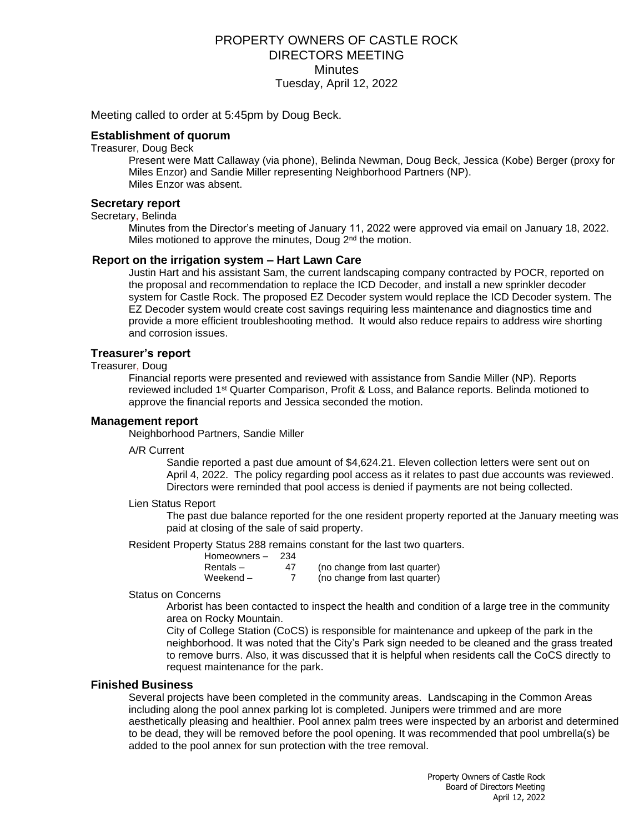# PROPERTY OWNERS OF CASTLE ROCK DIRECTORS MEETING **Minutes** Tuesday, April 12, 2022

Meeting called to order at 5:45pm by Doug Beck.

## **Establishment of quorum**

Treasurer, Doug Beck

Present were Matt Callaway (via phone), Belinda Newman, Doug Beck, Jessica (Kobe) Berger (proxy for Miles Enzor) and Sandie Miller representing Neighborhood Partners (NP). Miles Enzor was absent.

#### **Secretary report**

#### Secretary, Belinda

Minutes from the Director's meeting of January 11, 2022 were approved via email on January 18, 2022. Miles motioned to approve the minutes, Doug  $2<sup>nd</sup>$  the motion.

#### **Report on the irrigation system – Hart Lawn Care**

Justin Hart and his assistant Sam, the current landscaping company contracted by POCR, reported on the proposal and recommendation to replace the ICD Decoder, and install a new sprinkler decoder system for Castle Rock. The proposed EZ Decoder system would replace the ICD Decoder system. The EZ Decoder system would create cost savings requiring less maintenance and diagnostics time and provide a more efficient troubleshooting method. It would also reduce repairs to address wire shorting and corrosion issues.

## **Treasurer's report**

#### Treasurer, Doug

Financial reports were presented and reviewed with assistance from Sandie Miller (NP). Reports reviewed included 1st Quarter Comparison, Profit & Loss, and Balance reports. Belinda motioned to approve the financial reports and Jessica seconded the motion.

#### **Management report**

Neighborhood Partners, Sandie Miller

A/R Current

Sandie reported a past due amount of \$4,624.21. Eleven collection letters were sent out on April 4, 2022. The policy regarding pool access as it relates to past due accounts was reviewed. Directors were reminded that pool access is denied if payments are not being collected.

#### Lien Status Report

The past due balance reported for the one resident property reported at the January meeting was paid at closing of the sale of said property.

Resident Property Status 288 remains constant for the last two quarters.

| Homeowners- | 234 |                               |
|-------------|-----|-------------------------------|
| Rentals-    | 47  | (no change from last quarter) |
| Weekend $-$ |     | (no change from last quarter) |

#### Status on Concerns

Arborist has been contacted to inspect the health and condition of a large tree in the community area on Rocky Mountain.

City of College Station (CoCS) is responsible for maintenance and upkeep of the park in the neighborhood. It was noted that the City's Park sign needed to be cleaned and the grass treated to remove burrs. Also, it was discussed that it is helpful when residents call the CoCS directly to request maintenance for the park.

# **Finished Business**

Several projects have been completed in the community areas. Landscaping in the Common Areas including along the pool annex parking lot is completed. Junipers were trimmed and are more aesthetically pleasing and healthier. Pool annex palm trees were inspected by an arborist and determined to be dead, they will be removed before the pool opening. It was recommended that pool umbrella(s) be added to the pool annex for sun protection with the tree removal.